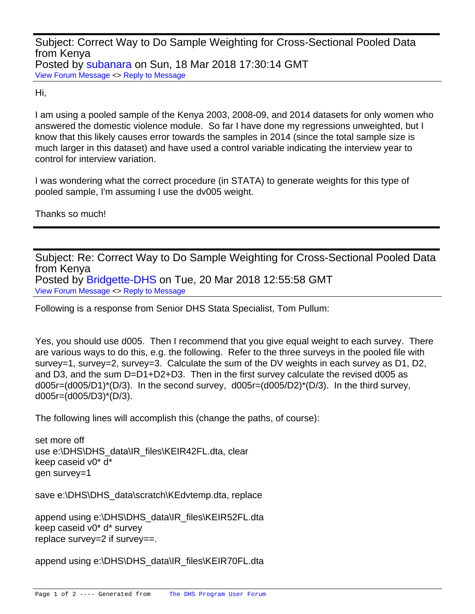Subject: Correct Way to Do Sample Weighting for Cross-Sectional Pooled Data from Kenya Posted by [subanara](https://userforum.dhsprogram.com/index.php?t=usrinfo&id=4485) on Sun, 18 Mar 2018 17:30:14 GMT [View Forum Message](https://userforum.dhsprogram.com/index.php?t=rview&th=6862&goto=14283#msg_14283) <> [Reply to Message](https://userforum.dhsprogram.com/index.php?t=post&reply_to=14283)

Hi,

I am using a pooled sample of the Kenya 2003, 2008-09, and 2014 datasets for only women who answered the domestic violence module. So far I have done my regressions unweighted, but I know that this likely causes error towards the samples in 2014 (since the total sample size is much larger in this dataset) and have used a control variable indicating the interview year to control for interview variation.

I was wondering what the correct procedure (in STATA) to generate weights for this type of pooled sample, I'm assuming I use the dv005 weight.

Thanks so much!

Subject: Re: Correct Way to Do Sample Weighting for Cross-Sectional Pooled Data from Kenya Posted by [Bridgette-DHS](https://userforum.dhsprogram.com/index.php?t=usrinfo&id=11) on Tue, 20 Mar 2018 12:55:58 GMT [View Forum Message](https://userforum.dhsprogram.com/index.php?t=rview&th=6862&goto=14298#msg_14298) <> [Reply to Message](https://userforum.dhsprogram.com/index.php?t=post&reply_to=14298)

Following is a response from Senior DHS Stata Specialist, Tom Pullum:

Yes, you should use d005. Then I recommend that you give equal weight to each survey. There are various ways to do this, e.g. the following. Refer to the three surveys in the pooled file with survey=1, survey=2, survey=3. Calculate the sum of the DV weights in each survey as D1, D2, and D3, and the sum D=D1+D2+D3. Then in the first survey calculate the revised d005 as  $d005r=(d005/D1)^*(D/3)$ . In the second survey,  $d005r=(d005/D2)^*(D/3)$ . In the third survey, d005r=(d005/D3)\*(D/3).

The following lines will accomplish this (change the paths, of course):

set more off use e:\DHS\DHS\_data\IR\_files\KEIR42FL.dta, clear keep caseid v0\* d\* gen survey=1

save e:\DHS\DHS\_data\scratch\KEdvtemp.dta, replace

append using e:\DHS\DHS\_data\IR\_files\KEIR52FL.dta keep caseid v0\* d\* survey replace survey=2 if survey==.

append using e:\DHS\DHS\_data\IR\_files\KEIR70FL.dta